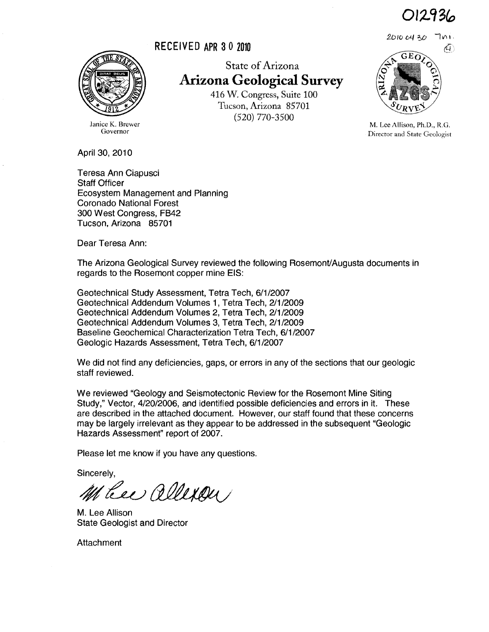012436



Janice K. Brewer Governor

April 30, 2010

Teresa Ann Ciapusci Staff Officer Ecosystem Management and Planning Coronado National Forest 300 West Congress, FB42 Tucson, Arizona 85701

Dear Teresa Ann:

The Arizona Geological Survey reviewed the following Rosemont/Augusta documents in regards to the Rosemont copper mine EIS:

Geotechnical Study Assessment, Tetra Tech, 6/1/2007 Geotechnical Addendum Volumes 1, Tetra Tech, 2/1/2009 Geotechnical Addendum Volumes 2, Tetra Tech, 2/1/2009 Geotechnical Addendum Volumes 3, Tetra Tech, 2/1/2009 Baseline Geochemical Characterization Tetra Tech, 6/1/2007 Geologic Hazards Assessment, Tetra Tech, 6/1/2007

We did not find any deficiencies, gaps, or errors in any of the sections that our geologic staff reviewed.

We reviewed "Geology and Seismotectonic Review for the Rosemont Mine Siting Study," Vector, 4/20/2006, and identified possible deficiencies and errors in it. These are described in the attached document. However, our staff found that these concerns may be largely irrelevant as they appear to be addressed in the subsequent "Geologic Hazards Assessment" report of 2007.

Please let me know if you have any questions.

Sincerely,

Heel allexan

M. Lee Allison State Geologist and Director

Attachment

State of Arizona **Arizona Geological Survey**  416 W. Congress, Suite 100 Tucson, Arizona 85701

(520) 770-3500



M. Lee Allison, Ph.D., R.G. Director and. State Geologist

RECEIVED APR 30 2010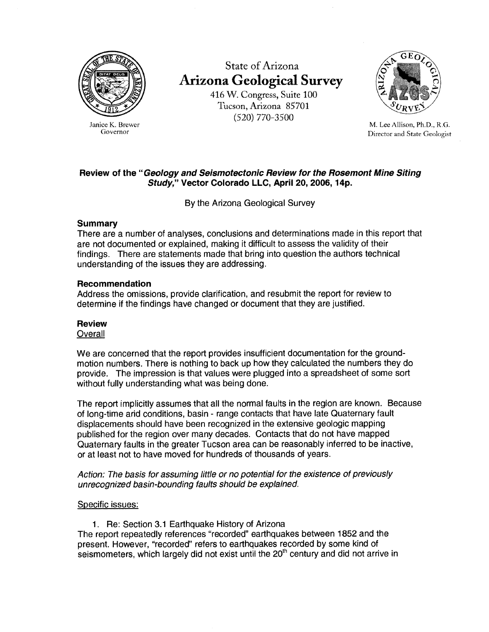

Janice K. Brewer Governor

State of Arizona **Arizona Geological Survey** 

416 W. Congress, Suite 100 Tucson, Arizona 85701 (520) 770-3500



M. Lee Allison, Ph.D., R.G. Director and State Geologist

# **Review of the "Geology and Seismotectonic Review for the Rosemont Mine Siting Study," Vector Colorado LLC, April 20, 2006, 14p.**

By the Arizona Geological Survey

## **Summary**

There are a number of analyses, conclusions and determinations made in this report that are not documented or explained, making it difficult to assess the validity of their findings. There are statements made that bring into question the authors technical understanding of the issues they are addressing.

### **Recommendation**

Address the omissions, provide clarification, and resubmit the report for review to determine if the findings have changed or document that they are justified.

## **Review**

### **Overall**

We are concerned that the report provides insufficient documentation for the groundmotion numbers. There is nothing to back up how they calculated the numbers they do provide. The impression is that values were plugged into a spreadsheet of some sort without fully understanding what was being done.

The report implicitly assumes that all the normal faults in the region are known. Because of long-time arid conditions, basin - range contacts that have late Quaternary fault displacements should have been recognized in the extensive geologic mapping published for the region over many decades. Contacts that do not have mapped Quaternary faults in the greater Tucson area can be reasonably inferred to be inactive, or at least not to have moved for hundreds of thousands of years.

Action: The basis for assuming little or no potential for the existence of previously unrecognized basin-bounding faults should be explained.

## Specific issues:

1. Re: Section 3.1 Earthquake History of Arizona

The report repeatedly references "recorded" earthquakes between 1852 and the present. However, "recorded" refers to earthquakes recorded by some kind of seismometers, which largely did not exist until the  $20<sup>th</sup>$  century and did not arrive in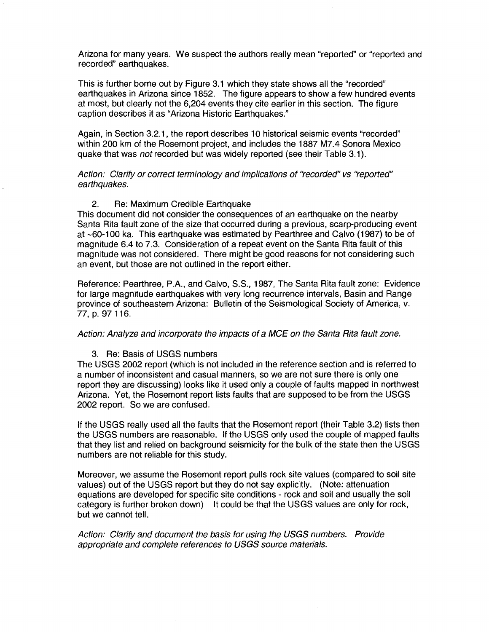Arizona for many years. We suspect the authors really mean "reported" or "reported and recorded" earthquakes.

This is further borne out by Figure 3.1 which they state shows all the "recorded" earthquakes in Arizona since 1852. The figure appears to show a few hundred events at most, but clearly not the 6,204 events they cite earlier in this section. The figure caption describes it as "Arizona Historic Earthquakes."

Again, in Section 3.2.1, the report describes 10 historical seismic events "recorded" within 200 km of the Rosemont project, and includes the 1887 M7.4 Sonora Mexico quake that was not recorded but was widely reported (see their Table 3.1).

Action: Clarify or correct terminology and implications of "recorded" vs "reported" earthquakes.

#### 2. Re: Maximum Credible Earthquake

This document did not consider the consequences of an earthquake on the nearby Santa Rita fault zone of the size that occurred during a previous, scarp-producing event at -60-100 ka. This earthquake was estimated by Pearthree and Calvo (1987) to be of magnitude 6.4 to 7.3. Consideration of a repeat event on the Santa Rita fault of this magnitude was not considered. There might be good reasons for not considering such an event, but those are not outlined in the report either.

Reference: Pearthree, P.A., and Calvo, S.S., 1987, The Santa Rita fault zone: Evidence for large magnitude earthquakes with very long recurrence intervals, Basin and Range province of southeastern Arizona: Bulletin of the Seismological Society of America, v. 77, p. 97 116.

### Action: Analyze and incorporate the impacts of a MCE on the Santa Rita fault zone.

#### 3. Re: Basis of USGS numbers

The USGS 2002 report (which is not included in the reference section and is referred to a number of inconsistent and casual manners, so we are not sure there is only one report they are discussing) looks like it used only a couple of faults mapped in northwest Arizona. Yet, the Rosemont report lists faults that are supposed to be from the USGS 2002 report. So we are confused.

If the USGS really used all the faults that the Rosemont report (their Table 3.2) lists then the USGS numbers are reasonable. If the USGS only used the couple of mapped faults that they list and relied on background seismicity for the bulk of the state then the USGS numbers are not reliable for this study.

Moreover, we assume the Rosemont report pulls rock site values (compared to soil site values) out of the USGS report but they do not say explicitly. (Note: attenuation equations are developed for specific site conditions - rock and soil and usually the soil category is further broken down) It could be that the USGS values are only for rock, but we cannot tell.

Action: Clarify and document the basis for using the USGS numbers. Provide appropriate and complete references to USGS source materials.